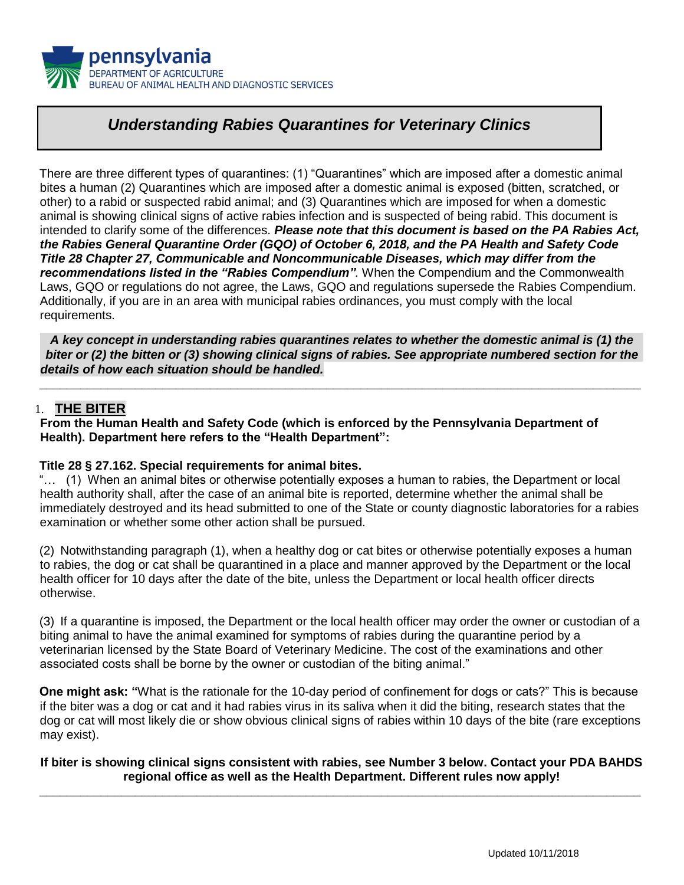

# *Understanding Rabies Quarantines for Veterinary Clinics*

There are three different types of quarantines: (1) "Quarantines" which are imposed after a domestic animal bites a human (2) Quarantines which are imposed after a domestic animal is exposed (bitten, scratched, or other) to a rabid or suspected rabid animal; and (3) Quarantines which are imposed for when a domestic animal is showing clinical signs of active rabies infection and is suspected of being rabid. This document is intended to clarify some of the differences. *Please note that this document is based on the PA Rabies Act, the Rabies General Quarantine Order (GQO) of October 6, 2018, and the PA Health and Safety Code Title 28 Chapter 27, Communicable and Noncommunicable Diseases, which may differ from the recommendations listed in the "Rabies Compendium".* When the Compendium and the Commonwealth Laws, GQO or regulations do not agree, the Laws, GQO and regulations supersede the Rabies Compendium. Additionally, if you are in an area with municipal rabies ordinances, you must comply with the local requirements.

*A key concept in understanding rabies quarantines relates to whether the domestic animal is (1) the biter or (2) the bitten or (3) showing clinical signs of rabies. See appropriate numbered section for the details of how each situation should be handled.*

**\_\_\_\_\_\_\_\_\_\_\_\_\_\_\_\_\_\_\_\_\_\_\_\_\_\_\_\_\_\_\_\_\_\_\_\_\_\_\_\_\_\_\_\_\_\_\_\_\_\_\_\_\_\_\_\_\_\_\_\_\_\_\_\_\_\_\_\_\_\_\_\_\_\_\_\_\_\_\_\_\_\_\_\_\_\_\_\_** 

### 1. **THE BITER**

**From the Human Health and Safety Code (which is enforced by the Pennsylvania Department of Health). Department here refers to the "Health Department":** 

#### **Title 28 § 27.162. Special requirements for animal bites.**

"… (1) When an animal bites or otherwise potentially exposes a human to rabies, the Department or local health authority shall, after the case of an animal bite is reported, determine whether the animal shall be immediately destroyed and its head submitted to one of the State or county diagnostic laboratories for a rabies examination or whether some other action shall be pursued.

(2) Notwithstanding paragraph (1), when a healthy dog or cat bites or otherwise potentially exposes a human to rabies, the dog or cat shall be quarantined in a place and manner approved by the Department or the local health officer for 10 days after the date of the bite, unless the Department or local health officer directs otherwise.

(3) If a quarantine is imposed, the Department or the local health officer may order the owner or custodian of a biting animal to have the animal examined for symptoms of rabies during the quarantine period by a veterinarian licensed by the State Board of Veterinary Medicine. The cost of the examinations and other associated costs shall be borne by the owner or custodian of the biting animal."

**One might ask: "**What is the rationale for the 10-day period of confinement for dogs or cats?" This is because if the biter was a dog or cat and it had rabies virus in its saliva when it did the biting, research states that the dog or cat will most likely die or show obvious clinical signs of rabies within 10 days of the bite (rare exceptions may exist).

#### **If biter is showing clinical signs consistent with rabies, see Number 3 below. Contact your PDA BAHDS regional office as well as the Health Department. Different rules now apply! \_\_\_\_\_\_\_\_\_\_\_\_\_\_\_\_\_\_\_\_\_\_\_\_\_\_\_\_\_\_\_\_\_\_\_\_\_\_\_\_\_\_\_\_\_\_\_\_\_\_\_\_\_\_\_\_\_\_\_\_\_\_\_\_\_\_\_\_\_\_\_\_\_\_\_\_\_\_\_\_\_\_\_\_\_\_\_\_**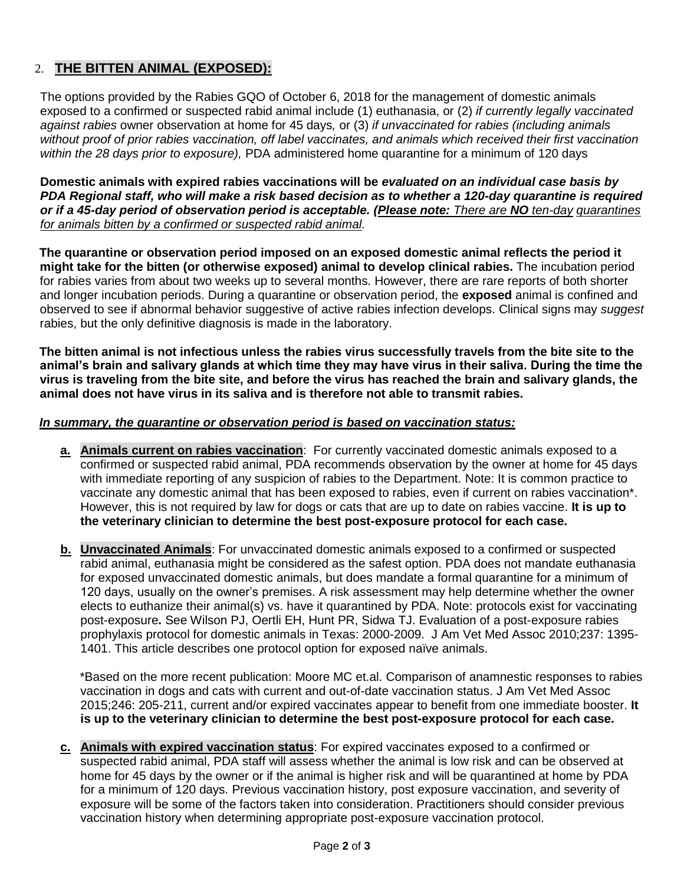# 2. **THE BITTEN ANIMAL (EXPOSED):**

The options provided by the Rabies GQO of October 6, 2018 for the management of domestic animals exposed to a confirmed or suspected rabid animal include (1) euthanasia, or (2) *if currently legally vaccinated against rabies* owner observation at home for 45 days*,* or (3) *if unvaccinated for rabies (including animals without proof of prior rabies vaccination, off label vaccinates, and animals which received their first vaccination within the 28 days prior to exposure),* PDA administered home quarantine for a minimum of 120 days

**Domestic animals with expired rabies vaccinations will be** *evaluated on an individual case basis by PDA Regional staff, who will make a risk based decision as to whether a 120-day quarantine is required or if a 45-day period of observation period is acceptable. (Please note: There are NO ten-day quarantines for animals bitten by a confirmed or suspected rabid animal.* 

**The quarantine or observation period imposed on an exposed domestic animal reflects the period it might take for the bitten (or otherwise exposed) animal to develop clinical rabies.** The incubation period for rabies varies from about two weeks up to several months. However, there are rare reports of both shorter and longer incubation periods. During a quarantine or observation period, the **exposed** animal is confined and observed to see if abnormal behavior suggestive of active rabies infection develops. Clinical signs may *suggest* rabies, but the only definitive diagnosis is made in the laboratory.

**The bitten animal is not infectious unless the rabies virus successfully travels from the bite site to the animal's brain and salivary glands at which time they may have virus in their saliva. During the time the virus is traveling from the bite site, and before the virus has reached the brain and salivary glands, the animal does not have virus in its saliva and is therefore not able to transmit rabies.** 

### *In summary, the quarantine or observation period is based on vaccination status:*

- **a. Animals current on rabies vaccination**: For currently vaccinated domestic animals exposed to a confirmed or suspected rabid animal, PDA recommends observation by the owner at home for 45 days with immediate reporting of any suspicion of rabies to the Department. Note: It is common practice to vaccinate any domestic animal that has been exposed to rabies, even if current on rabies vaccination\*. However, this is not required by law for dogs or cats that are up to date on rabies vaccine. **It is up to the veterinary clinician to determine the best post-exposure protocol for each case.**
- **b. Unvaccinated Animals**: For unvaccinated domestic animals exposed to a confirmed or suspected rabid animal, euthanasia might be considered as the safest option. PDA does not mandate euthanasia for exposed unvaccinated domestic animals, but does mandate a formal quarantine for a minimum of 120 days, usually on the owner's premises. A risk assessment may help determine whether the owner elects to euthanize their animal(s) vs. have it quarantined by PDA. Note: protocols exist for vaccinating post-exposure**.** See Wilson PJ, Oertli EH, Hunt PR, Sidwa TJ. Evaluation of a post-exposure rabies prophylaxis protocol for domestic animals in Texas: 2000-2009. J Am Vet Med Assoc 2010;237: 1395- 1401. This article describes one protocol option for exposed naïve animals.

\*Based on the more recent publication: Moore MC et.al. Comparison of anamnestic responses to rabies vaccination in dogs and cats with current and out-of-date vaccination status. J Am Vet Med Assoc 2015;246: 205-211, current and/or expired vaccinates appear to benefit from one immediate booster. **It is up to the veterinary clinician to determine the best post-exposure protocol for each case.**

**c. Animals with expired vaccination status**: For expired vaccinates exposed to a confirmed or suspected rabid animal, PDA staff will assess whether the animal is low risk and can be observed at home for 45 days by the owner or if the animal is higher risk and will be quarantined at home by PDA for a minimum of 120 days. Previous vaccination history, post exposure vaccination, and severity of exposure will be some of the factors taken into consideration. Practitioners should consider previous vaccination history when determining appropriate post-exposure vaccination protocol.